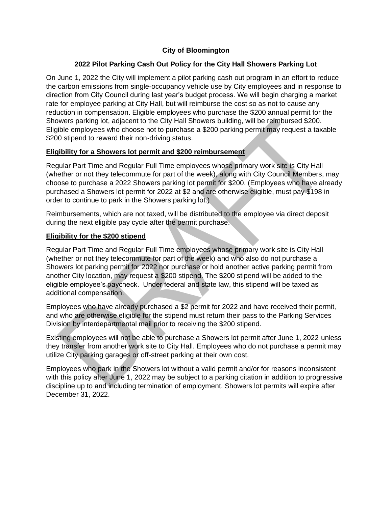## **City of Bloomington**

### **2022 Pilot Parking Cash Out Policy for the City Hall Showers Parking Lot**

On June 1, 2022 the City will implement a pilot parking cash out program in an effort to reduce the carbon emissions from single-occupancy vehicle use by City employees and in response to direction from City Council during last year's budget process. We will begin charging a market rate for employee parking at City Hall, but will reimburse the cost so as not to cause any reduction in compensation. Eligible employees who purchase the \$200 annual permit for the Showers parking lot, adjacent to the City Hall Showers building, will be reimbursed \$200. Eligible employees who choose not to purchase a \$200 parking permit may request a taxable \$200 stipend to reward their non-driving status.

#### **Eligibility for a Showers lot permit and \$200 reimbursement**

Regular Part Time and Regular Full Time employees whose primary work site is City Hall (whether or not they telecommute for part of the week), along with City Council Members, may choose to purchase a 2022 Showers parking lot permit for \$200. (Employees who have already purchased a Showers lot permit for 2022 at \$2 and are otherwise eligible, must pay \$198 in order to continue to park in the Showers parking lot.)

Reimbursements, which are not taxed, will be distributed to the employee via direct deposit during the next eligible pay cycle after the permit purchase.

#### **Eligibility for the \$200 stipend**

Regular Part Time and Regular Full Time employees whose primary work site is City Hall (whether or not they telecommute for part of the week) and who also do not purchase a Showers lot parking permit for 2022 nor purchase or hold another active parking permit from another City location, may request a \$200 stipend. The \$200 stipend will be added to the eligible employee's paycheck. Under federal and state law, this stipend will be taxed as additional compensation.

Employees who have already purchased a \$2 permit for 2022 and have received their permit, and who are otherwise eligible for the stipend must return their pass to the Parking Services Division by interdepartmental mail prior to receiving the \$200 stipend.

Existing employees will not be able to purchase a Showers lot permit after June 1, 2022 unless they transfer from another work site to City Hall. Employees who do not purchase a permit may utilize City parking garages or off-street parking at their own cost.

Employees who park in the Showers lot without a valid permit and/or for reasons inconsistent with this policy after June 1, 2022 may be subject to a parking citation in addition to progressive discipline up to and including termination of employment. Showers lot permits will expire after December 31, 2022.